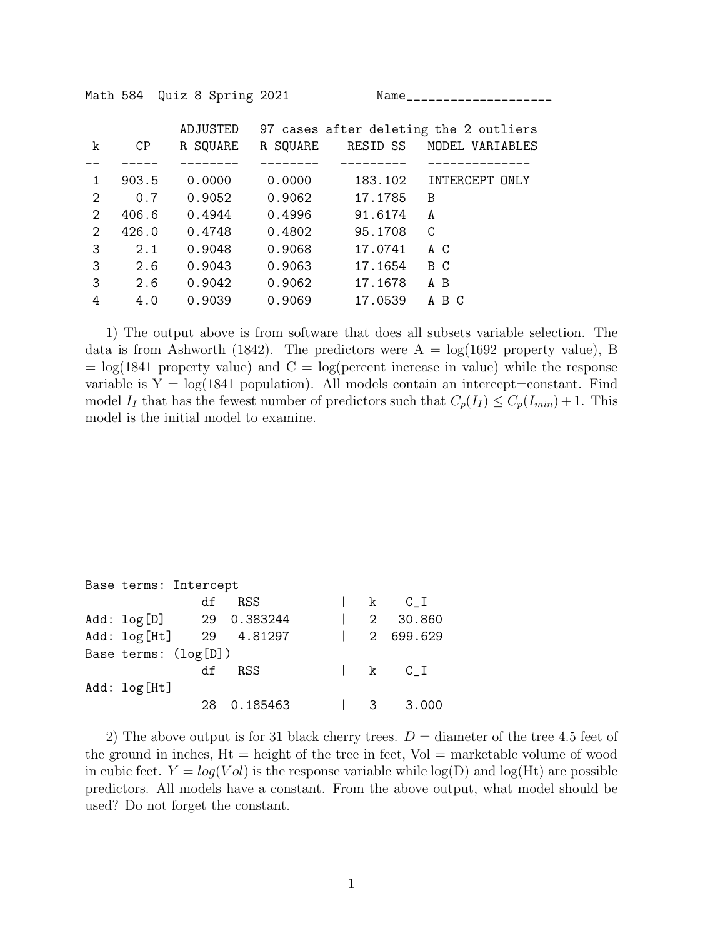Math 584 Quiz 8 Spring 2021 Name\_\_\_\_\_\_\_\_\_\_\_\_\_\_\_\_\_\_\_\_

|               |       | ADJUSTED |          |          | 97 cases after deleting the 2 outliers |
|---------------|-------|----------|----------|----------|----------------------------------------|
| k             | CP    | R SQUARE | R SQUARE | RESID SS | MODEL VARIABLES                        |
|               |       |          |          |          |                                        |
| 1             | 903.5 | 0.0000   | 0.0000   | 183.102  | INTERCEPT ONLY                         |
| 2             | 0.7   | 0.9052   | 0.9062   | 17.1785  | B                                      |
| $\mathcal{D}$ | 406.6 | 0.4944   | 0.4996   | 91.6174  | A                                      |
| $\mathcal{D}$ | 426.0 | 0.4748   | 0.4802   | 95.1708  | C                                      |
| 3             | 2.1   | 0.9048   | 0.9068   | 17.0741  | A C                                    |
| 3             | 2.6   | 0.9043   | 0.9063   | 17.1654  | B C                                    |
| 3             | 2.6   | 0.9042   | 0.9062   | 17.1678  | A B                                    |
| 4             | 4.0   | 0.9039   | 0.9069   | 17.0539  | A B C                                  |

1) The output above is from software that does all subsets variable selection. The data is from Ashworth (1842). The predictors were  $A = \log(1692)$  property value), B  $=$  log(1841 property value) and  $C = log(percent)$  increase in value) while the response variable is  $Y = \log(1841)$  population). All models contain an intercept=constant. Find model  $I_I$  that has the fewest number of predictors such that  $C_p(I_I) \leq C_p(I_{min}) + 1$ . This model is the initial model to examine.

|              | Base terms: Intercept |                         |  |                                                      |
|--------------|-----------------------|-------------------------|--|------------------------------------------------------|
|              | df                    | RSS.                    |  | $\begin{array}{ccc} & k & C_I \end{array}$           |
|              |                       | Add: log[D] 29 0.383244 |  | $\begin{array}{ccc} \vert & 2 & 30.860 \end{array}$  |
|              |                       | Add: log[Ht] 29 4.81297 |  | $\begin{array}{ccc} \vert & 2 & 699.629 \end{array}$ |
|              | Base terms: (log[D])  |                         |  |                                                      |
|              | df                    | RSS                     |  | $\begin{array}{ccc} & k & C_I \end{array}$           |
| Add: log[Ht] |                       |                         |  |                                                      |
|              | 28                    | 0.185463                |  | $\begin{array}{ccc} \end{array}$ 3.000               |

2) The above output is for 31 black cherry trees.  $D =$  diameter of the tree 4.5 feet of the ground in inches,  $Ht =$  height of the tree in feet,  $Vol =$  marketable volume of wood in cubic feet.  $Y = log(Vol)$  is the response variable while  $log(D)$  and  $log(Ht)$  are possible predictors. All models have a constant. From the above output, what model should be used? Do not forget the constant.